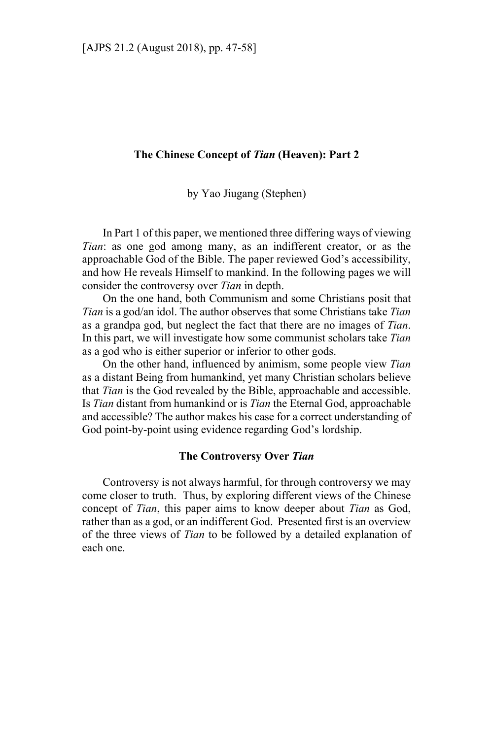# **The Chinese Concept of** *Tian* **(Heaven): Part 2**

by Yao Jiugang (Stephen)

In Part 1 of this paper, we mentioned three differing ways of viewing *Tian*: as one god among many, as an indifferent creator, or as the approachable God of the Bible. The paper reviewed God's accessibility, and how He reveals Himself to mankind. In the following pages we will consider the controversy over *Tian* in depth.

On the one hand, both Communism and some Christians posit that *Tian* is a god/an idol. The author observes that some Christians take *Tian* as a grandpa god, but neglect the fact that there are no images of *Tian*. In this part, we will investigate how some communist scholars take *Tian* as a god who is either superior or inferior to other gods.

On the other hand, influenced by animism, some people view *Tian* as a distant Being from humankind, yet many Christian scholars believe that *Tian* is the God revealed by the Bible, approachable and accessible. Is *Tian* distant from humankind or is *Tian* the Eternal God, approachable and accessible? The author makes his case for a correct understanding of God point-by-point using evidence regarding God's lordship.

# **The Controversy Over** *Tian*

Controversy is not always harmful, for through controversy we may come closer to truth. Thus, by exploring different views of the Chinese concept of *Tian*, this paper aims to know deeper about *Tian* as God, rather than as a god, or an indifferent God. Presented first is an overview of the three views of *Tian* to be followed by a detailed explanation of each one.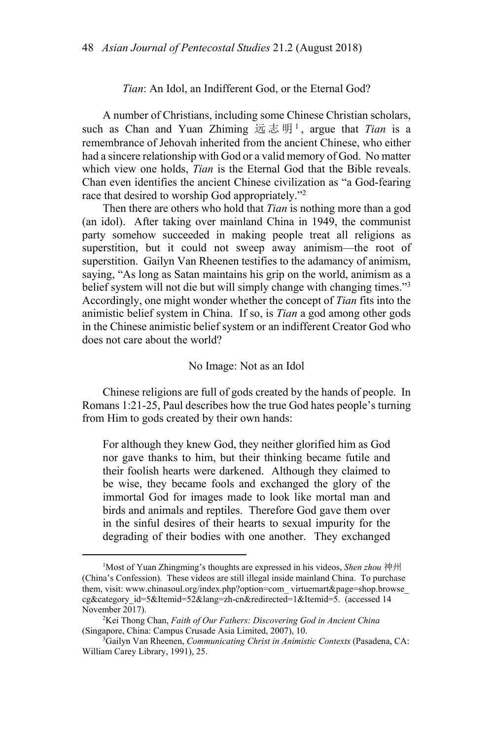### *Tian*: An Idol, an Indifferent God, or the Eternal God?

A number of Christians, including some Chinese Christian scholars, such as Chan and Yuan Zhiming 远志明 <sup>1</sup> , argue that *Tian* is a remembrance of Jehovah inherited from the ancient Chinese, who either had a sincere relationship with God or a valid memory of God. No matter which view one holds, *Tian* is the Eternal God that the Bible reveals. Chan even identifies the ancient Chinese civilization as "a God-fearing race that desired to worship God appropriately."<sup>2</sup>

Then there are others who hold that *Tian* is nothing more than a god (an idol). After taking over mainland China in 1949, the communist party somehow succeeded in making people treat all religions as superstition, but it could not sweep away animism—the root of superstition. Gailyn Van Rheenen testifies to the adamancy of animism, saying, "As long as Satan maintains his grip on the world, animism as a belief system will not die but will simply change with changing times."<sup>3</sup> Accordingly, one might wonder whether the concept of *Tian* fits into the animistic belief system in China. If so, is *Tian* a god among other gods in the Chinese animistic belief system or an indifferent Creator God who does not care about the world?

### No Image: Not as an Idol

Chinese religions are full of gods created by the hands of people. In Romans 1:21-25, Paul describes how the true God hates people's turning from Him to gods created by their own hands:

For although they knew God, they neither glorified him as God nor gave thanks to him, but their thinking became futile and their foolish hearts were darkened. Although they claimed to be wise, they became fools and exchanged the glory of the immortal God for images made to look like mortal man and birds and animals and reptiles. Therefore God gave them over in the sinful desires of their hearts to sexual impurity for the degrading of their bodies with one another. They exchanged

 $\overline{\phantom{a}}$ Most of Yuan Zhingming's thoughts are expressed in his videos, *Shen zhou* 神州 (China's Confession). These videos are still illegal inside mainland China. To purchase them, visit: www.chinasoul.org/index.php?option=com\_ virtuemart&page=shop.browse\_ cg&category\_id=5&Itemid=52&lang=zh-cn&redirected=1&Itemid=5. (accessed 14 November 2017).

<sup>&</sup>lt;sup>2</sup>Kei Thong Chan, *Faith of Our Fathers: Discovering God in Ancient China* (Singapore, China: Campus Crusade Asia Limited, 2007), 10. 3

Gailyn Van Rheenen, *Communicating Christ in Animistic Contexts* (Pasadena, CA: William Carey Library, 1991), 25.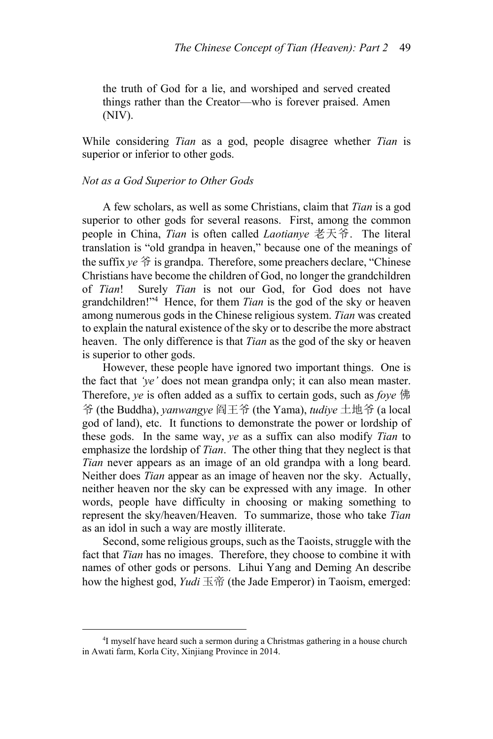the truth of God for a lie, and worshiped and served created things rather than the Creator—who is forever praised. Amen (NIV).

While considering *Tian* as a god, people disagree whether *Tian* is superior or inferior to other gods.

# *Not as a God Superior to Other Gods*

A few scholars, as well as some Christians, claim that *Tian* is a god superior to other gods for several reasons. First, among the common people in China, *Tian* is often called *Laotianye* 老天爷. The literal translation is "old grandpa in heaven," because one of the meanings of the suffix *ye* 爷 is grandpa. Therefore, some preachers declare, "Chinese Christians have become the children of God, no longer the grandchildren of *Tian*! Surely *Tian* is not our God, for God does not have grandchildren!"4 Hence, for them *Tian* is the god of the sky or heaven among numerous gods in the Chinese religious system. *Tian* was created to explain the natural existence of the sky or to describe the more abstract heaven. The only difference is that *Tian* as the god of the sky or heaven is superior to other gods.

However, these people have ignored two important things. One is the fact that *'ye'* does not mean grandpa only; it can also mean master. Therefore, *ye* is often added as a suffix to certain gods, such as *foye* 佛 爷 (the Buddha), *yanwangye* 阎王爷 (the Yama), *tudiye* 土地爷 (a local god of land), etc. It functions to demonstrate the power or lordship of these gods. In the same way, *ye* as a suffix can also modify *Tian* to emphasize the lordship of *Tian*. The other thing that they neglect is that *Tian* never appears as an image of an old grandpa with a long beard. Neither does *Tian* appear as an image of heaven nor the sky. Actually, neither heaven nor the sky can be expressed with any image. In other words, people have difficulty in choosing or making something to represent the sky/heaven/Heaven. To summarize, those who take *Tian* as an idol in such a way are mostly illiterate.

Second, some religious groups, such as the Taoists, struggle with the fact that *Tian* has no images. Therefore, they choose to combine it with names of other gods or persons. Lihui Yang and Deming An describe how the highest god, *Yudi* 玉帝 (the Jade Emperor) in Taoism, emerged:

 $\frac{1}{4}$ <sup>4</sup>I myself have heard such a sermon during a Christmas gathering in a house church in Awati farm, Korla City, Xinjiang Province in 2014.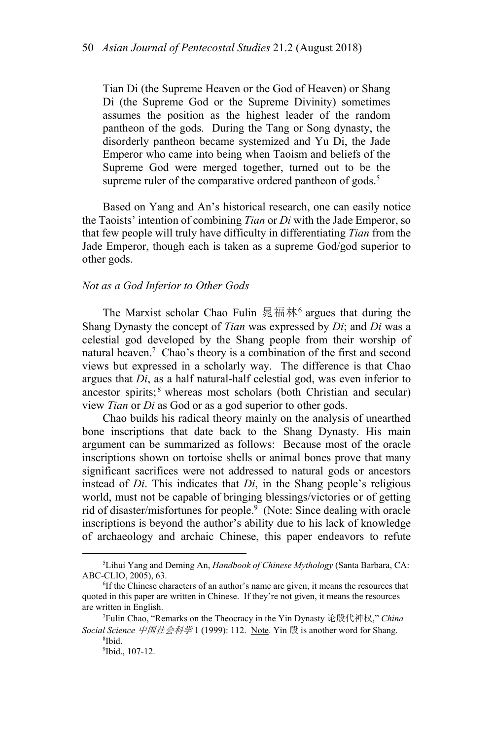Tian Di (the Supreme Heaven or the God of Heaven) or Shang Di (the Supreme God or the Supreme Divinity) sometimes assumes the position as the highest leader of the random pantheon of the gods. During the Tang or Song dynasty, the disorderly pantheon became systemized and Yu Di, the Jade Emperor who came into being when Taoism and beliefs of the Supreme God were merged together, turned out to be the supreme ruler of the comparative ordered pantheon of gods.<sup>5</sup>

Based on Yang and An's historical research, one can easily notice the Taoists' intention of combining *Tian* or *Di* with the Jade Emperor, so that few people will truly have difficulty in differentiating *Tian* from the Jade Emperor, though each is taken as a supreme God/god superior to other gods.

### *Not as a God Inferior to Other Gods*

The Marxist scholar Chao Fulin 晁福林<sup>6</sup> argues that during the Shang Dynasty the concept of *Tian* was expressed by *Di*; and *Di* was a celestial god developed by the Shang people from their worship of natural heaven.<sup>7</sup> Chao's theory is a combination of the first and second views but expressed in a scholarly way. The difference is that Chao argues that *Di*, as a half natural-half celestial god, was even inferior to ancestor spirits; $8$  whereas most scholars (both Christian and secular) view *Tian* or *Di* as God or as a god superior to other gods.

Chao builds his radical theory mainly on the analysis of unearthed bone inscriptions that date back to the Shang Dynasty. His main argument can be summarized as follows: Because most of the oracle inscriptions shown on tortoise shells or animal bones prove that many significant sacrifices were not addressed to natural gods or ancestors instead of *Di*. This indicates that *Di*, in the Shang people's religious world, must not be capable of bringing blessings/victories or of getting rid of disaster/misfortunes for people.<sup>9</sup> (Note: Since dealing with oracle inscriptions is beyond the author's ability due to his lack of knowledge of archaeology and archaic Chinese, this paper endeavors to refute

 $\frac{1}{5}$ Lihui Yang and Deming An, *Handbook of Chinese Mythology* (Santa Barbara, CA: ABC-CLIO, 2005), 63.

<sup>&</sup>lt;sup>6</sup>If the Chinese characters of an author's name are given, it means the resources that quoted in this paper are written in Chinese. If they're not given, it means the resources are written in English. 7

Fulin Chao, "Remarks on the Theocracy in the Yin Dynasty 论殷代神权," *China Social Science* 中国社会科学 1 (1999): 112. Note. Yin <sup>殷</sup> is another word for Shang. 8

<sup>&</sup>lt;sup>8</sup>Ibid. 9 Ibid., 107-12.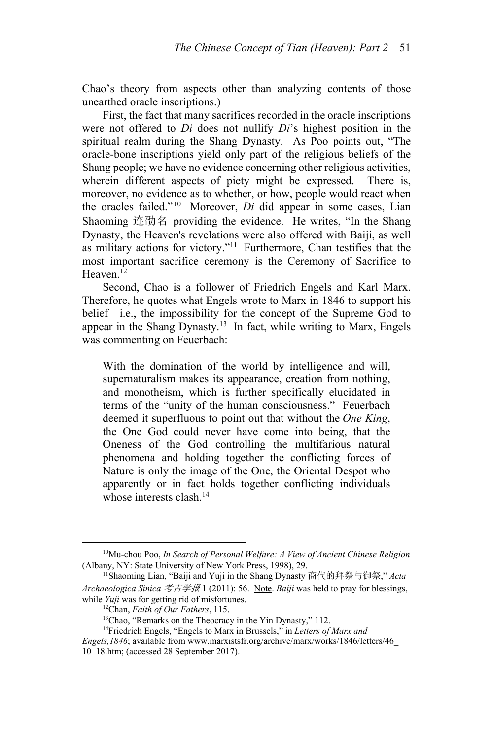Chao's theory from aspects other than analyzing contents of those unearthed oracle inscriptions.)

First, the fact that many sacrifices recorded in the oracle inscriptions were not offered to *Di* does not nullify *Di*'s highest position in the spiritual realm during the Shang Dynasty. As Poo points out, "The oracle-bone inscriptions yield only part of the religious beliefs of the Shang people; we have no evidence concerning other religious activities, wherein different aspects of piety might be expressed. There is, moreover, no evidence as to whether, or how, people would react when the oracles failed." 10 Moreover, *Di* did appear in some cases, Lian Shaoming 连劭名 providing the evidence. He writes, "In the Shang Dynasty, the Heaven's revelations were also offered with Baiji, as well as military actions for victory."11 Furthermore, Chan testifies that the most important sacrifice ceremony is the Ceremony of Sacrifice to Heaven. $12$ 

Second, Chao is a follower of Friedrich Engels and Karl Marx. Therefore, he quotes what Engels wrote to Marx in 1846 to support his belief—i.e., the impossibility for the concept of the Supreme God to appear in the Shang Dynasty.<sup>13</sup> In fact, while writing to Marx, Engels was commenting on Feuerbach:

With the domination of the world by intelligence and will, supernaturalism makes its appearance, creation from nothing, and monotheism, which is further specifically elucidated in terms of the "unity of the human consciousness." Feuerbach deemed it superfluous to point out that without the *One King*, the One God could never have come into being, that the Oneness of the God controlling the multifarious natural phenomena and holding together the conflicting forces of Nature is only the image of the One, the Oriental Despot who apparently or in fact holds together conflicting individuals whose interests clash.<sup>14</sup>

 <sup>10</sup>Mu-chou Poo, *In Search of Personal Welfare: A View of Ancient Chinese Religion* (Albany, NY: State University of New York Press, 1998), 29.<br><sup>11</sup>Shaoming Lian, "Baiji and Yuji in the Shang Dynasty 商代的拜祭与御祭," *Acta* 

*Archaeologica Sinica* 考古学报 1 (2011): 56. Note. *Baiji* was held to pray for blessings, while *Yuji* was for getting rid of misfortunes.<br><sup>12</sup>Chan, *Faith of Our Fathers*, 115.<br><sup>13</sup>Chao, "Remarks on the Theocracy in the Yin Dynasty," 112.

<sup>14</sup>Friedrich Engels, "Engels to Marx in Brussels," in *Letters of Marx and* 

*Engels,1846*; available from www.marxistsfr.org/archive/marx/works/1846/letters/46\_ 10\_18.htm; (accessed 28 September 2017).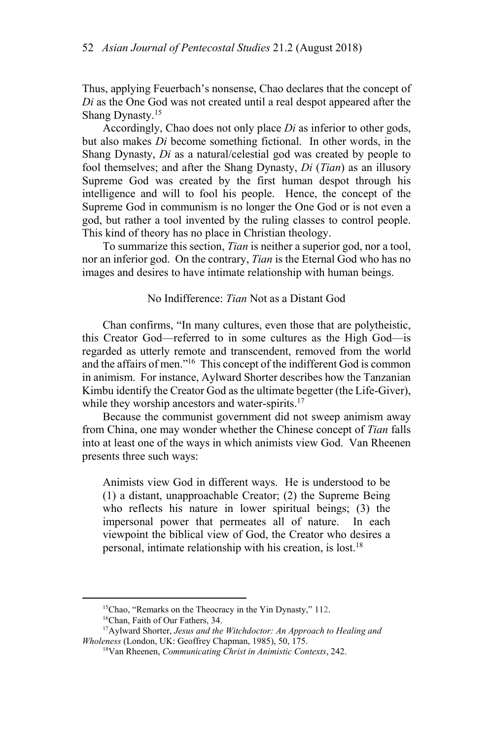Thus, applying Feuerbach's nonsense, Chao declares that the concept of *Di* as the One God was not created until a real despot appeared after the Shang Dynasty.<sup>15</sup>

Accordingly, Chao does not only place *Di* as inferior to other gods, but also makes *Di* become something fictional. In other words, in the Shang Dynasty, *Di* as a natural/celestial god was created by people to fool themselves; and after the Shang Dynasty, *Di* (*Tian*) as an illusory Supreme God was created by the first human despot through his intelligence and will to fool his people. Hence, the concept of the Supreme God in communism is no longer the One God or is not even a god, but rather a tool invented by the ruling classes to control people. This kind of theory has no place in Christian theology.

To summarize this section, *Tian* is neither a superior god, nor a tool, nor an inferior god. On the contrary, *Tian* is the Eternal God who has no images and desires to have intimate relationship with human beings.

### No Indifference: *Tian* Not as a Distant God

Chan confirms, "In many cultures, even those that are polytheistic, this Creator God—referred to in some cultures as the High God—is regarded as utterly remote and transcendent, removed from the world and the affairs of men."16 This concept of the indifferent God is common in animism. For instance, Aylward Shorter describes how the Tanzanian Kimbu identify the Creator God as the ultimate begetter (the Life-Giver), while they worship ancestors and water-spirits.<sup>17</sup>

Because the communist government did not sweep animism away from China, one may wonder whether the Chinese concept of *Tian* falls into at least one of the ways in which animists view God. Van Rheenen presents three such ways:

Animists view God in different ways. He is understood to be (1) a distant, unapproachable Creator; (2) the Supreme Being who reflects his nature in lower spiritual beings; (3) the impersonal power that permeates all of nature. In each viewpoint the biblical view of God, the Creator who desires a personal, intimate relationship with his creation, is lost.18

<sup>&</sup>lt;sup>15</sup>Chao, "Remarks on the Theocracy in the Yin Dynasty," 112. <sup>16</sup>Chan, Faith of Our Fathers, 34.

<sup>17</sup>Aylward Shorter, *Jesus and the Witchdoctor: An Approach to Healing and Wholeness* (London, UK: Geoffrey Chapman, 1985), 50, 175.<br><sup>18</sup>Van Rheenen, *Communicating Christ in Animistic Contexts*, 242.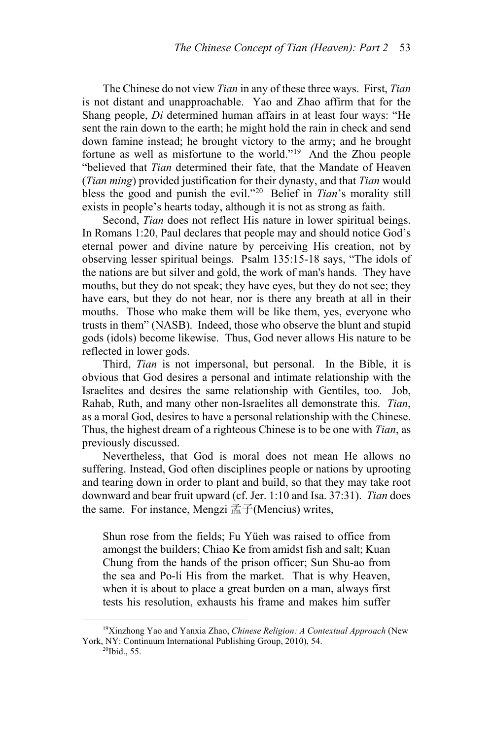The Chinese do not view *Tian* in any of these three ways. First, *Tian* is not distant and unapproachable. Yao and Zhao affirm that for the Shang people, *Di* determined human affairs in at least four ways: "He sent the rain down to the earth; he might hold the rain in check and send down famine instead; he brought victory to the army; and he brought fortune as well as misfortune to the world."19 And the Zhou people "believed that *Tian* determined their fate, that the Mandate of Heaven (*Tian ming*) provided justification for their dynasty, and that *Tian* would bless the good and punish the evil."20 Belief in *Tian*'s morality still exists in people's hearts today, although it is not as strong as faith.

Second, *Tian* does not reflect His nature in lower spiritual beings. In Romans 1:20, Paul declares that people may and should notice God's eternal power and divine nature by perceiving His creation, not by observing lesser spiritual beings. Psalm 135:15-18 says, "The idols of the nations are but silver and gold, the work of man's hands. They have mouths, but they do not speak; they have eyes, but they do not see; they have ears, but they do not hear, nor is there any breath at all in their mouths. Those who make them will be like them, yes, everyone who trusts in them" (NASB). Indeed, those who observe the blunt and stupid gods (idols) become likewise. Thus, God never allows His nature to be reflected in lower gods.

Third, *Tian* is not impersonal, but personal. In the Bible, it is obvious that God desires a personal and intimate relationship with the Israelites and desires the same relationship with Gentiles, too. Job, Rahab, Ruth, and many other non-Israelites all demonstrate this. *Tian*, as a moral God, desires to have a personal relationship with the Chinese. Thus, the highest dream of a righteous Chinese is to be one with *Tian*, as previously discussed.

Nevertheless, that God is moral does not mean He allows no suffering. Instead, God often disciplines people or nations by uprooting and tearing down in order to plant and build, so that they may take root downward and bear fruit upward (cf. Jer. 1:10 and Isa. 37:31). *Tian* does the same. For instance, Mengzi 孟子(Mencius) writes,

Shun rose from the fields; Fu Yüeh was raised to office from amongst the builders; Chiao Ke from amidst fish and salt; Kuan Chung from the hands of the prison officer; Sun Shu-ao from the sea and Po-li His from the market. That is why Heaven, when it is about to place a great burden on a man, always first tests his resolution, exhausts his frame and makes him suffer

 <sup>19</sup>Xinzhong Yao and Yanxia Zhao, *Chinese Religion: A Contextual Approach* (New York, NY: Continuum International Publishing Group, 2010), 54.<br><sup>20</sup>Ibid., 55.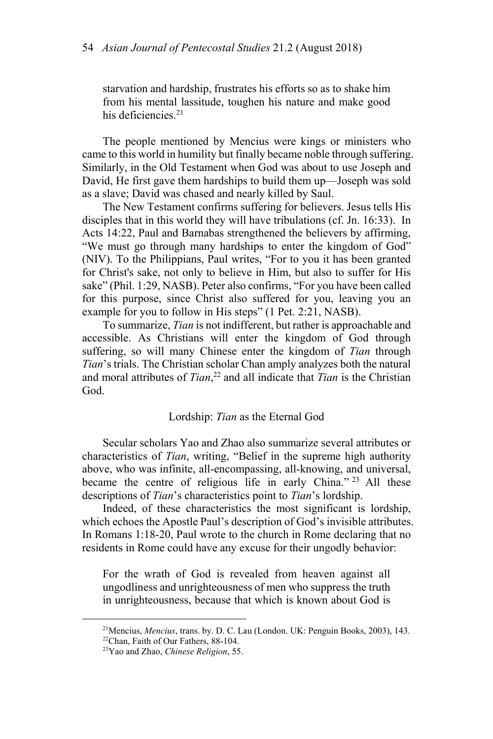starvation and hardship, frustrates his efforts so as to shake him from his mental lassitude, toughen his nature and make good his deficiencies.<sup>21</sup>

The people mentioned by Mencius were kings or ministers who came to this world in humility but finally became noble through suffering. Similarly, in the Old Testament when God was about to use Joseph and David, He first gave them hardships to build them up—Joseph was sold as a slave; David was chased and nearly killed by Saul.

The New Testament confirms suffering for believers. Jesus tells His disciples that in this world they will have tribulations (cf. Jn. 16:33). In Acts 14:22, Paul and Barnabas strengthened the believers by affirming, "We must go through many hardships to enter the kingdom of God" (NIV). To the Philippians, Paul writes, "For to you it has been granted for Christ's sake, not only to believe in Him, but also to suffer for His sake" (Phil. 1:29, NASB). Peter also confirms, "For you have been called for this purpose, since Christ also suffered for you, leaving you an example for you to follow in His steps" (1 Pet. 2:21, NASB).

To summarize, *Tian* is not indifferent, but rather is approachable and accessible. As Christians will enter the kingdom of God through suffering, so will many Chinese enter the kingdom of *Tian* through *Tian*'s trials. The Christian scholar Chan amply analyzes both the natural and moral attributes of *Tian*, 22 and all indicate that *Tian* is the Christian God.

# Lordship: *Tian* as the Eternal God

Secular scholars Yao and Zhao also summarize several attributes or characteristics of *Tian*, writing, "Belief in the supreme high authority above, who was infinite, all-encompassing, all-knowing, and universal, became the centre of religious life in early China." 23 All these descriptions of *Tian*'s characteristics point to *Tian*'s lordship.

Indeed, of these characteristics the most significant is lordship, which echoes the Apostle Paul's description of God's invisible attributes. In Romans 1:18-20, Paul wrote to the church in Rome declaring that no residents in Rome could have any excuse for their ungodly behavior:

For the wrath of God is revealed from heaven against all ungodliness and unrighteousness of men who suppress the truth in unrighteousness, because that which is known about God is

<sup>&</sup>lt;sup>21</sup>Mencius, *Mencius*, trans. by. D. C. Lau (London. UK: Penguin Books, 2003), 143. <sup>22</sup>Chan, Faith of Our Fathers, 88-104.

<sup>23</sup>Yao and Zhao, *Chinese Religion*, 55.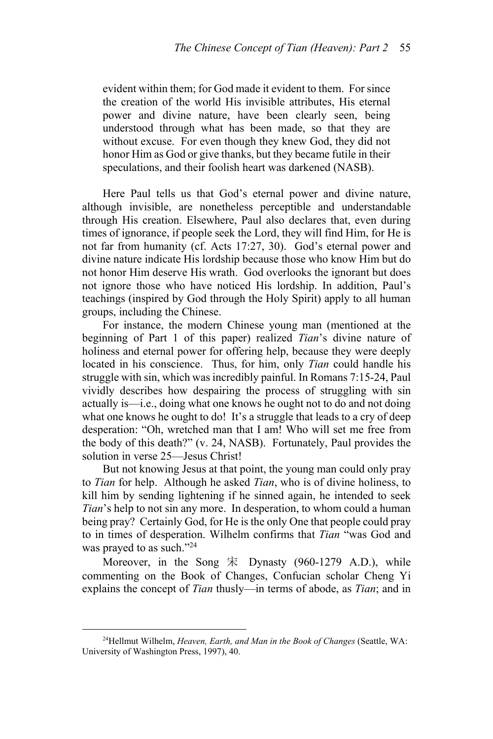evident within them; for God made it evident to them. For since the creation of the world His invisible attributes, His eternal power and divine nature, have been clearly seen, being understood through what has been made, so that they are without excuse. For even though they knew God, they did not honor Him as God or give thanks, but they became futile in their speculations, and their foolish heart was darkened (NASB).

Here Paul tells us that God's eternal power and divine nature, although invisible, are nonetheless perceptible and understandable through His creation. Elsewhere, Paul also declares that, even during times of ignorance, if people seek the Lord, they will find Him, for He is not far from humanity (cf. Acts 17:27, 30). God's eternal power and divine nature indicate His lordship because those who know Him but do not honor Him deserve His wrath. God overlooks the ignorant but does not ignore those who have noticed His lordship. In addition, Paul's teachings (inspired by God through the Holy Spirit) apply to all human groups, including the Chinese.

For instance, the modern Chinese young man (mentioned at the beginning of Part 1 of this paper) realized *Tian*'s divine nature of holiness and eternal power for offering help, because they were deeply located in his conscience. Thus, for him, only *Tian* could handle his struggle with sin, which was incredibly painful. In Romans 7:15-24, Paul vividly describes how despairing the process of struggling with sin actually is—i.e., doing what one knows he ought not to do and not doing what one knows he ought to do! It's a struggle that leads to a cry of deep desperation: "Oh, wretched man that I am! Who will set me free from the body of this death?" (v. 24, NASB). Fortunately, Paul provides the solution in verse 25—Jesus Christ!

But not knowing Jesus at that point, the young man could only pray to *Tian* for help. Although he asked *Tian*, who is of divine holiness, to kill him by sending lightening if he sinned again, he intended to seek *Tian*'s help to not sin any more. In desperation, to whom could a human being pray? Certainly God, for He is the only One that people could pray to in times of desperation. Wilhelm confirms that *Tian* "was God and was prayed to as such."<sup>24</sup>

Moreover, in the Song 宋 Dynasty (960-1279 A.D.), while commenting on the Book of Changes, Confucian scholar Cheng Yi explains the concept of *Tian* thusly—in terms of abode, as *Tian*; and in

 <sup>24</sup>Hellmut Wilhelm, *Heaven, Earth, and Man in the Book of Changes* (Seattle, WA: University of Washington Press, 1997), 40.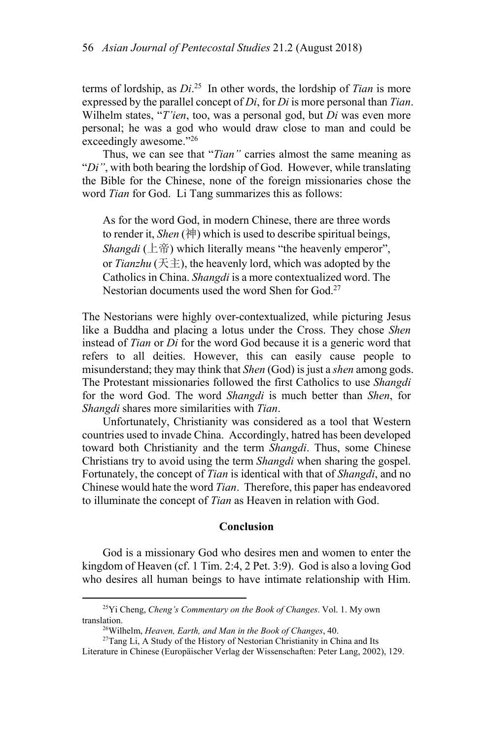terms of lordship, as *Di*. 25 In other words, the lordship of *Tian* is more expressed by the parallel concept of *Di*, for *Di* is more personal than *Tian*. Wilhelm states, "*T'ien*, too, was a personal god, but *Di* was even more personal; he was a god who would draw close to man and could be exceedingly awesome."26

Thus, we can see that "*Tian"* carries almost the same meaning as "*Di"*, with both bearing the lordship of God. However, while translating the Bible for the Chinese, none of the foreign missionaries chose the word *Tian* for God. Li Tang summarizes this as follows:

As for the word God, in modern Chinese, there are three words to render it, *Shen* (神) which is used to describe spiritual beings, *Shangdi* (上帝) which literally means "the heavenly emperor", or *Tianzhu* (天主), the heavenly lord, which was adopted by the Catholics in China. *Shangdi* is a more contextualized word. The Nestorian documents used the word Shen for God.27

The Nestorians were highly over-contextualized, while picturing Jesus like a Buddha and placing a lotus under the Cross. They chose *Shen* instead of *Tian* or *Di* for the word God because it is a generic word that refers to all deities. However, this can easily cause people to misunderstand; they may think that *Shen* (God) is just a *shen* among gods. The Protestant missionaries followed the first Catholics to use *Shangdi* for the word God. The word *Shangdi* is much better than *Shen*, for *Shangdi* shares more similarities with *Tian*.

Unfortunately, Christianity was considered as a tool that Western countries used to invade China. Accordingly, hatred has been developed toward both Christianity and the term *Shangdi*. Thus, some Chinese Christians try to avoid using the term *Shangdi* when sharing the gospel. Fortunately, the concept of *Tian* is identical with that of *Shangdi*, and no Chinese would hate the word *Tian*. Therefore, this paper has endeavored to illuminate the concept of *Tian* as Heaven in relation with God.

#### **Conclusion**

God is a missionary God who desires men and women to enter the kingdom of Heaven (cf. 1 Tim. 2:4, 2 Pet. 3:9). God is also a loving God who desires all human beings to have intimate relationship with Him.

 <sup>25</sup>Yi Cheng, *Cheng's Commentary on the Book of Changes*. Vol. 1. My own translation.<br><sup>26</sup>Wilhelm, *Heaven, Earth, and Man in the Book of Changes*, 40.<br><sup>27</sup>Tang Li, A Study of the History of Nestorian Christianity in China and Its

Literature in Chinese (Europäischer Verlag der Wissenschaften: Peter Lang, 2002), 129.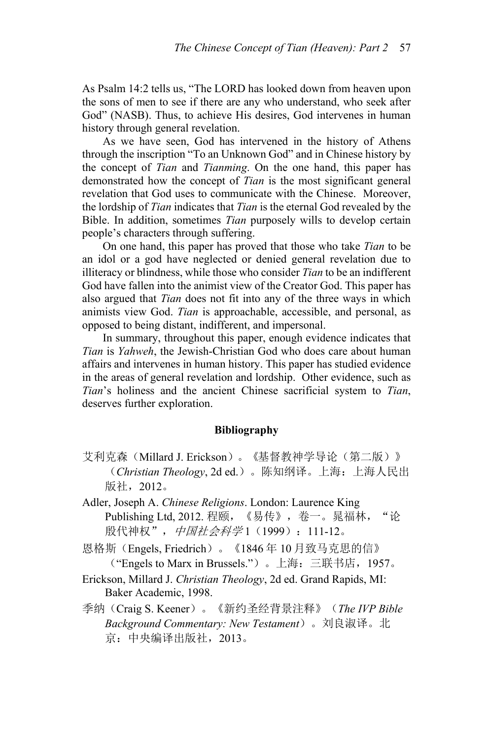As Psalm 14:2 tells us, "The LORD has looked down from heaven upon the sons of men to see if there are any who understand, who seek after God" (NASB). Thus, to achieve His desires, God intervenes in human history through general revelation.

As we have seen, God has intervened in the history of Athens through the inscription "To an Unknown God" and in Chinese history by the concept of *Tian* and *Tianming*. On the one hand, this paper has demonstrated how the concept of *Tian* is the most significant general revelation that God uses to communicate with the Chinese. Moreover, the lordship of *Tian* indicates that *Tian* is the eternal God revealed by the Bible. In addition, sometimes *Tian* purposely wills to develop certain people's characters through suffering.

On one hand, this paper has proved that those who take *Tian* to be an idol or a god have neglected or denied general revelation due to illiteracy or blindness, while those who consider *Tian* to be an indifferent God have fallen into the animist view of the Creator God. This paper has also argued that *Tian* does not fit into any of the three ways in which animists view God. *Tian* is approachable, accessible, and personal, as opposed to being distant, indifferent, and impersonal.

In summary, throughout this paper, enough evidence indicates that *Tian* is *Yahweh*, the Jewish-Christian God who does care about human affairs and intervenes in human history. This paper has studied evidence in the areas of general revelation and lordship. Other evidence, such as *Tian*'s holiness and the ancient Chinese sacrificial system to *Tian*, deserves further exploration.

# **Bibliography**

- 艾利克森(Millard J. Erickson)。《基督教神学导论(第二版)》 (*Christian Theology*, 2d ed.)。陈知纲译。上海:上海人民出 版社,2012。
- Adler, Joseph A. *Chinese Religions*. London: Laurence King Publishing Ltd, 2012. 程颐, 《易传》, 卷一。晁福林, "论 股代神权",中国社会科学1(1999): 111-12。
- 恩格斯(Engels, Friedrich)。《1846 年 10 月致马克思的信》 ("Engels to Marx in Brussels.")。上海:三联书店,1957。
- Erickson, Millard J. *Christian Theology*, 2d ed. Grand Rapids, MI: Baker Academic, 1998.
- 季纳(Craig S. Keener)。《新约圣经背景注释》(*The IVP Bible Background Commentary: New Testament*)。刘良淑译。北 京:中央编译出版社,2013。